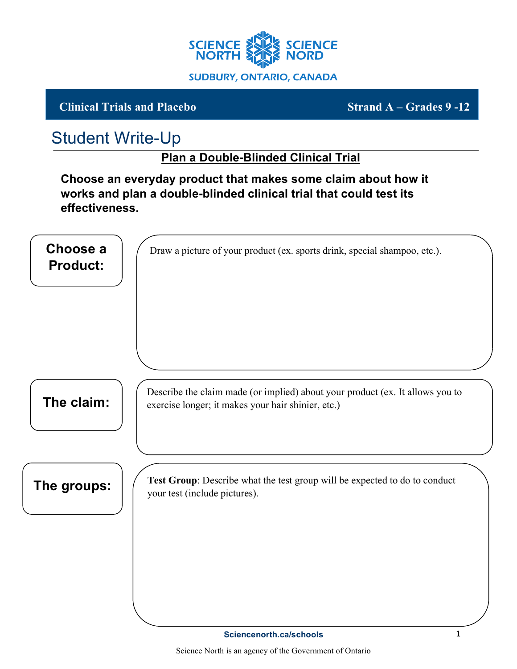

## **Clinical Trials and Placebo Strand A – Grades 9 -12**

## Student Write-Up

## **Plan a Double-Blinded Clinical Trial**

**Choose an everyday product that makes some claim about how it works and plan a double-blinded clinical trial that could test its effectiveness.**

| Choose a<br><b>Product:</b> | Draw a picture of your product (ex. sports drink, special shampoo, etc.).                                                           |
|-----------------------------|-------------------------------------------------------------------------------------------------------------------------------------|
| The claim:                  | Describe the claim made (or implied) about your product (ex. It allows you to<br>exercise longer; it makes your hair shinier, etc.) |
| The groups:                 | Test Group: Describe what the test group will be expected to do to conduct<br>your test (include pictures).                         |
|                             |                                                                                                                                     |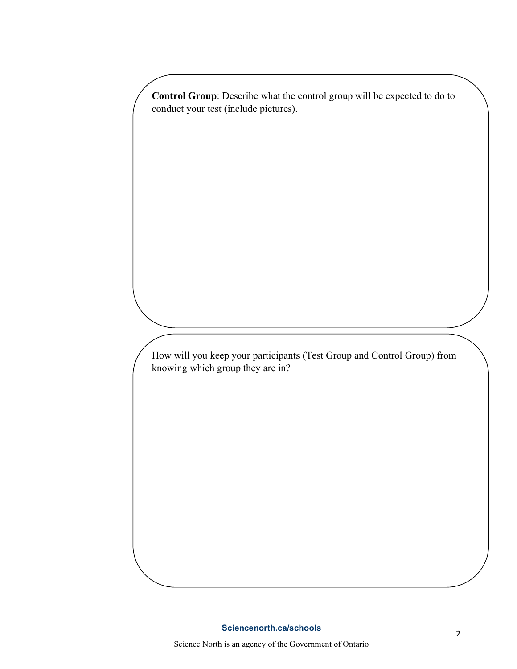**Control Group**: Describe what the control group will be expected to do to conduct your test (include pictures).

How will you keep your participants (Test Group and Control Group) from knowing which group they are in?